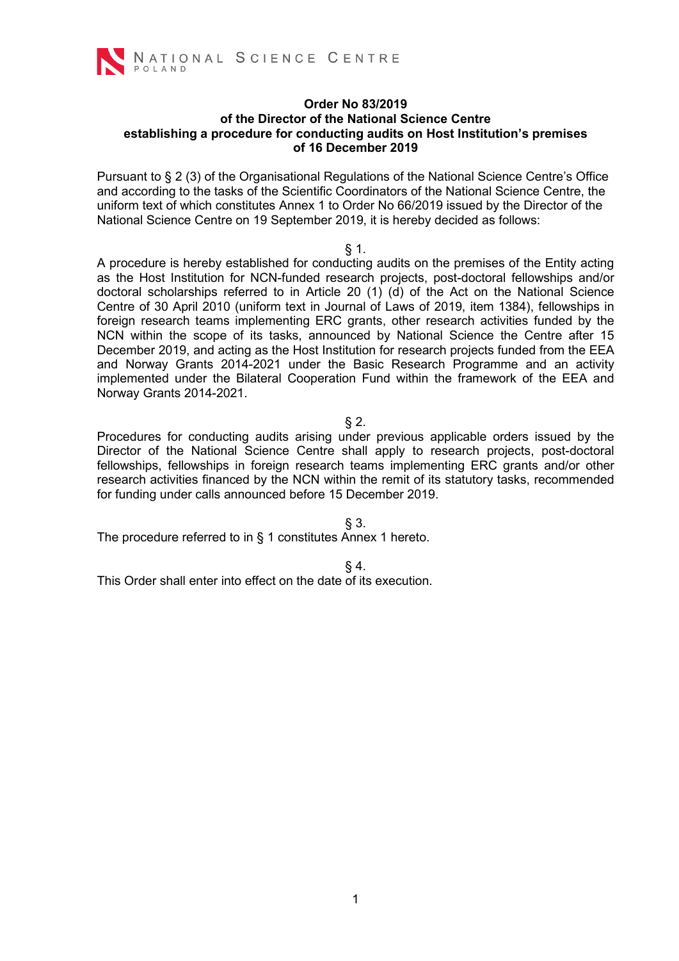

#### **Order No 83/2019 of the Director of the National Science Centre establishing a procedure for conducting audits on Host Institution's premises of 16 December 2019**

Pursuant to § 2 (3) of the Organisational Regulations of the National Science Centre's Office and according to the tasks of the Scientific Coordinators of the National Science Centre, the uniform text of which constitutes Annex 1 to Order No 66/2019 issued by the Director of the National Science Centre on 19 September 2019, it is hereby decided as follows:

#### § 1.

A procedure is hereby established for conducting audits on the premises of the Entity acting as the Host Institution for NCN-funded research projects, post-doctoral fellowships and/or doctoral scholarships referred to in Article 20 (1) (d) of the Act on the National Science Centre of 30 April 2010 (uniform text in Journal of Laws of 2019, item 1384), fellowships in foreign research teams implementing ERC grants, other research activities funded by the NCN within the scope of its tasks, announced by National Science the Centre after 15 December 2019, and acting as the Host Institution for research projects funded from the EEA and Norway Grants 2014-2021 under the Basic Research Programme and an activity implemented under the Bilateral Cooperation Fund within the framework of the EEA and Norway Grants 2014-2021.

#### § 2.

Procedures for conducting audits arising under previous applicable orders issued by the Director of the National Science Centre shall apply to research projects, post-doctoral fellowships, fellowships in foreign research teams implementing ERC grants and/or other research activities financed by the NCN within the remit of its statutory tasks, recommended for funding under calls announced before 15 December 2019.

§ 3.

The procedure referred to in § 1 constitutes Annex 1 hereto.

# § 4.

This Order shall enter into effect on the date of its execution.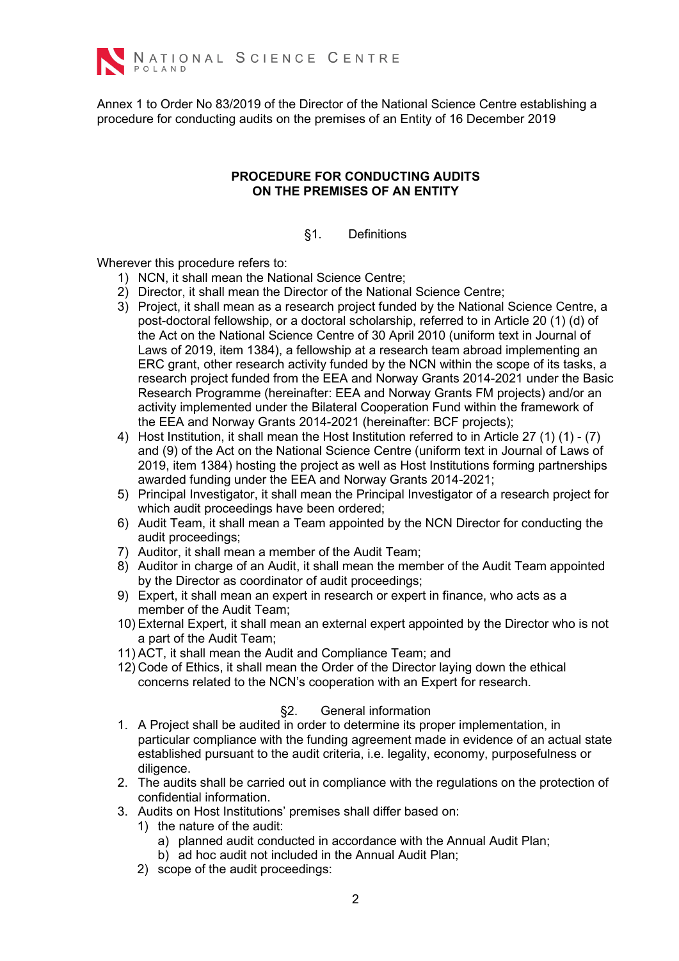

Annex 1 to Order No 83/2019 of the Director of the National Science Centre establishing a procedure for conducting audits on the premises of an Entity of 16 December 2019

#### **PROCEDURE FOR CONDUCTING AUDITS ON THE PREMISES OF AN ENTITY**

# §1. Definitions

Wherever this procedure refers to:

- 1) NCN, it shall mean the National Science Centre;
- 2) Director, it shall mean the Director of the National Science Centre;
- 3) Project, it shall mean as a research project funded by the National Science Centre, a post-doctoral fellowship, or a doctoral scholarship, referred to in Article 20 (1) (d) of the Act on the National Science Centre of 30 April 2010 (uniform text in Journal of Laws of 2019, item 1384), a fellowship at a research team abroad implementing an ERC grant, other research activity funded by the NCN within the scope of its tasks, a research project funded from the EEA and Norway Grants 2014-2021 under the Basic Research Programme (hereinafter: EEA and Norway Grants FM projects) and/or an activity implemented under the Bilateral Cooperation Fund within the framework of the EEA and Norway Grants 2014-2021 (hereinafter: BCF projects);
- 4) Host Institution, it shall mean the Host Institution referred to in Article 27 (1) (1) (7) and (9) of the Act on the National Science Centre (uniform text in Journal of Laws of 2019, item 1384) hosting the project as well as Host Institutions forming partnerships awarded funding under the EEA and Norway Grants 2014-2021;
- 5) Principal Investigator, it shall mean the Principal Investigator of a research project for which audit proceedings have been ordered;
- 6) Audit Team, it shall mean a Team appointed by the NCN Director for conducting the audit proceedings;
- 7) Auditor, it shall mean a member of the Audit Team;
- 8) Auditor in charge of an Audit, it shall mean the member of the Audit Team appointed by the Director as coordinator of audit proceedings;
- 9) Expert, it shall mean an expert in research or expert in finance, who acts as a member of the Audit Team;
- 10) External Expert, it shall mean an external expert appointed by the Director who is not a part of the Audit Team;
- 11) ACT, it shall mean the Audit and Compliance Team; and
- 12) Code of Ethics, it shall mean the Order of the Director laying down the ethical concerns related to the NCN's cooperation with an Expert for research.

# §2. General information

- 1. A Project shall be audited in order to determine its proper implementation, in particular compliance with the funding agreement made in evidence of an actual state established pursuant to the audit criteria, i.e. legality, economy, purposefulness or diligence.
- 2. The audits shall be carried out in compliance with the regulations on the protection of confidential information.
- 3. Audits on Host Institutions' premises shall differ based on:
	- 1) the nature of the audit:
		- a) planned audit conducted in accordance with the Annual Audit Plan;
		- b) ad hoc audit not included in the Annual Audit Plan;
	- 2) scope of the audit proceedings: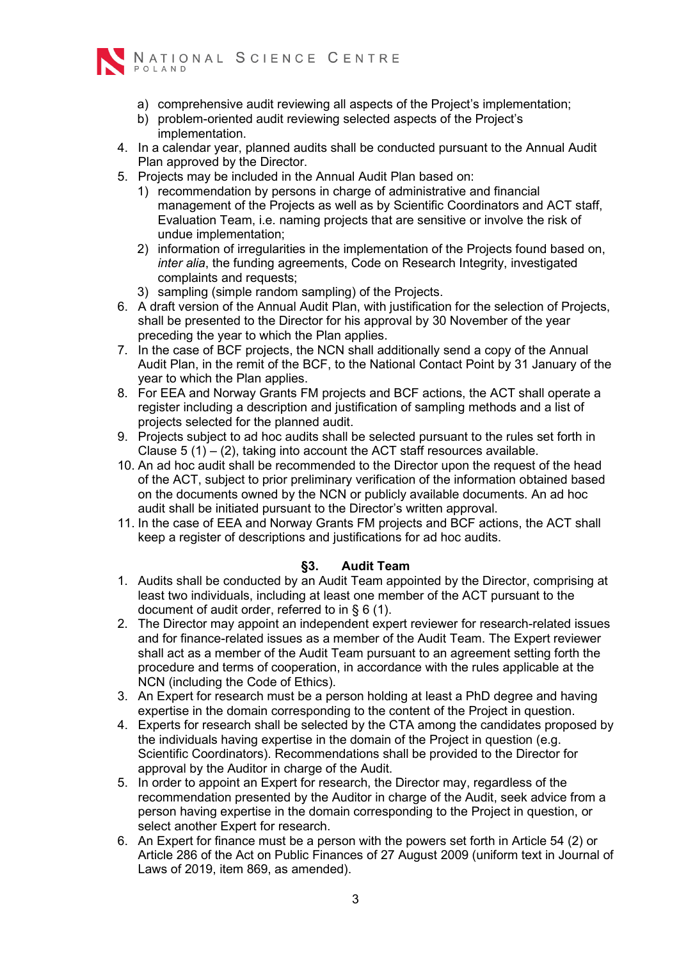

- a) comprehensive audit reviewing all aspects of the Project's implementation;
- b) problem-oriented audit reviewing selected aspects of the Project's implementation.
- 4. In a calendar year, planned audits shall be conducted pursuant to the Annual Audit Plan approved by the Director.
- 5. Projects may be included in the Annual Audit Plan based on:
	- 1) recommendation by persons in charge of administrative and financial management of the Projects as well as by Scientific Coordinators and ACT staff, Evaluation Team, i.e. naming projects that are sensitive or involve the risk of undue implementation;
	- 2) information of irregularities in the implementation of the Projects found based on, *inter alia*, the funding agreements, Code on Research Integrity, investigated complaints and requests;
	- 3) sampling (simple random sampling) of the Projects.
- 6. A draft version of the Annual Audit Plan, with justification for the selection of Projects, shall be presented to the Director for his approval by 30 November of the year preceding the year to which the Plan applies.
- 7. In the case of BCF projects, the NCN shall additionally send a copy of the Annual Audit Plan, in the remit of the BCF, to the National Contact Point by 31 January of the year to which the Plan applies.
- 8. For EEA and Norway Grants FM projects and BCF actions, the ACT shall operate a register including a description and justification of sampling methods and a list of projects selected for the planned audit.
- 9. Projects subject to ad hoc audits shall be selected pursuant to the rules set forth in Clause  $5(1) - (2)$ , taking into account the ACT staff resources available.
- 10. An ad hoc audit shall be recommended to the Director upon the request of the head of the ACT, subject to prior preliminary verification of the information obtained based on the documents owned by the NCN or publicly available documents. An ad hoc audit shall be initiated pursuant to the Director's written approval.
- 11. In the case of EEA and Norway Grants FM projects and BCF actions, the ACT shall keep a register of descriptions and justifications for ad hoc audits.

# **§3. Audit Team**

- 1. Audits shall be conducted by an Audit Team appointed by the Director, comprising at least two individuals, including at least one member of the ACT pursuant to the document of audit order, referred to in § 6 (1).
- 2. The Director may appoint an independent expert reviewer for research-related issues and for finance-related issues as a member of the Audit Team. The Expert reviewer shall act as a member of the Audit Team pursuant to an agreement setting forth the procedure and terms of cooperation, in accordance with the rules applicable at the NCN (including the Code of Ethics).
- 3. An Expert for research must be a person holding at least a PhD degree and having expertise in the domain corresponding to the content of the Project in question.
- 4. Experts for research shall be selected by the CTA among the candidates proposed by the individuals having expertise in the domain of the Project in question (e.g. Scientific Coordinators). Recommendations shall be provided to the Director for approval by the Auditor in charge of the Audit.
- 5. In order to appoint an Expert for research, the Director may, regardless of the recommendation presented by the Auditor in charge of the Audit, seek advice from a person having expertise in the domain corresponding to the Project in question, or select another Expert for research.
- 6. An Expert for finance must be a person with the powers set forth in Article 54 (2) or Article 286 of the Act on Public Finances of 27 August 2009 (uniform text in Journal of Laws of 2019, item 869, as amended).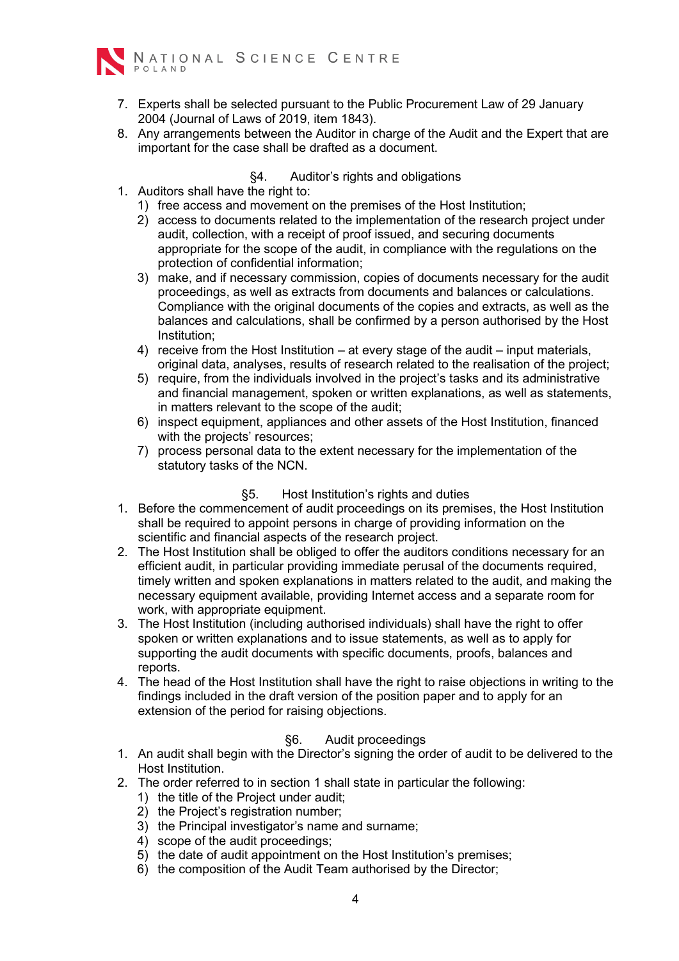

- 7. Experts shall be selected pursuant to the Public Procurement Law of 29 January 2004 (Journal of Laws of 2019, item 1843).
- 8. Any arrangements between the Auditor in charge of the Audit and the Expert that are important for the case shall be drafted as a document.

#### §4. Auditor's rights and obligations

- 1. Auditors shall have the right to:
	- 1) free access and movement on the premises of the Host Institution;
	- 2) access to documents related to the implementation of the research project under audit, collection, with a receipt of proof issued, and securing documents appropriate for the scope of the audit, in compliance with the regulations on the protection of confidential information;
	- 3) make, and if necessary commission, copies of documents necessary for the audit proceedings, as well as extracts from documents and balances or calculations. Compliance with the original documents of the copies and extracts, as well as the balances and calculations, shall be confirmed by a person authorised by the Host Institution;
	- 4) receive from the Host Institution at every stage of the audit input materials, original data, analyses, results of research related to the realisation of the project;
	- 5) require, from the individuals involved in the project's tasks and its administrative and financial management, spoken or written explanations, as well as statements, in matters relevant to the scope of the audit;
	- 6) inspect equipment, appliances and other assets of the Host Institution, financed with the projects' resources;
	- 7) process personal data to the extent necessary for the implementation of the statutory tasks of the NCN.

# §5. Host Institution's rights and duties

- 1. Before the commencement of audit proceedings on its premises, the Host Institution shall be required to appoint persons in charge of providing information on the scientific and financial aspects of the research project.
- 2. The Host Institution shall be obliged to offer the auditors conditions necessary for an efficient audit, in particular providing immediate perusal of the documents required, timely written and spoken explanations in matters related to the audit, and making the necessary equipment available, providing Internet access and a separate room for work, with appropriate equipment.
- 3. The Host Institution (including authorised individuals) shall have the right to offer spoken or written explanations and to issue statements, as well as to apply for supporting the audit documents with specific documents, proofs, balances and reports.
- 4. The head of the Host Institution shall have the right to raise objections in writing to the findings included in the draft version of the position paper and to apply for an extension of the period for raising objections.

# §6. Audit proceedings

- 1. An audit shall begin with the Director's signing the order of audit to be delivered to the Host Institution.
- 2. The order referred to in section 1 shall state in particular the following:
	- 1) the title of the Project under audit;
	- 2) the Project's registration number;
	- 3) the Principal investigator's name and surname;
	- 4) scope of the audit proceedings;
	- 5) the date of audit appointment on the Host Institution's premises;
	- 6) the composition of the Audit Team authorised by the Director;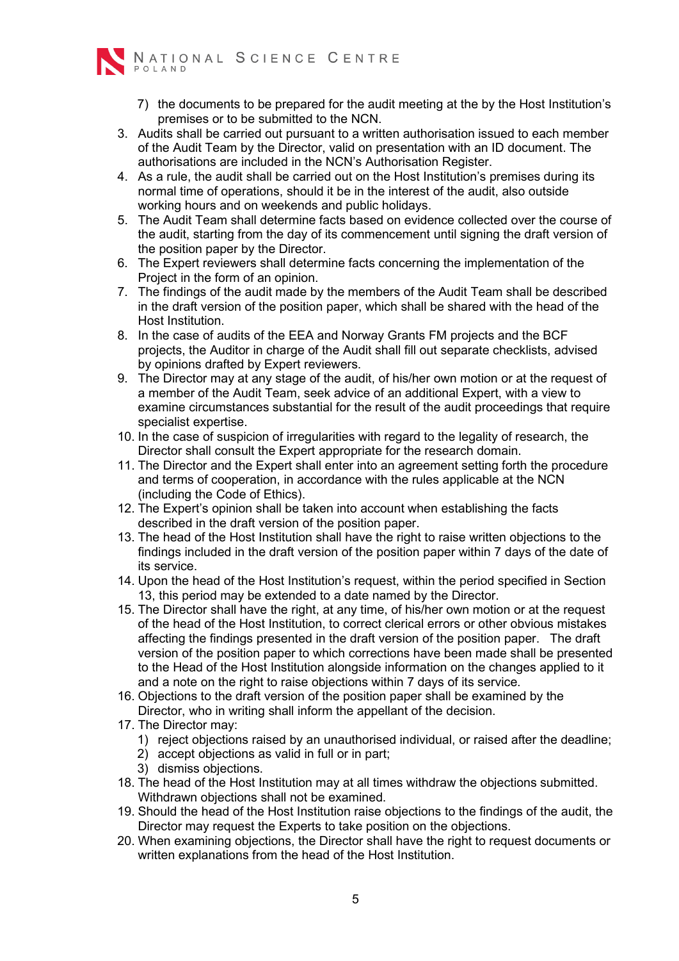

- 7) the documents to be prepared for the audit meeting at the by the Host Institution's premises or to be submitted to the NCN.
- 3. Audits shall be carried out pursuant to a written authorisation issued to each member of the Audit Team by the Director, valid on presentation with an ID document. The authorisations are included in the NCN's Authorisation Register.
- 4. As a rule, the audit shall be carried out on the Host Institution's premises during its normal time of operations, should it be in the interest of the audit, also outside working hours and on weekends and public holidays.
- 5. The Audit Team shall determine facts based on evidence collected over the course of the audit, starting from the day of its commencement until signing the draft version of the position paper by the Director.
- 6. The Expert reviewers shall determine facts concerning the implementation of the Project in the form of an opinion.
- 7. The findings of the audit made by the members of the Audit Team shall be described in the draft version of the position paper, which shall be shared with the head of the Host Institution.
- 8. In the case of audits of the EEA and Norway Grants FM projects and the BCF projects, the Auditor in charge of the Audit shall fill out separate checklists, advised by opinions drafted by Expert reviewers.
- 9. The Director may at any stage of the audit, of his/her own motion or at the request of a member of the Audit Team, seek advice of an additional Expert, with a view to examine circumstances substantial for the result of the audit proceedings that require specialist expertise.
- 10. In the case of suspicion of irregularities with regard to the legality of research, the Director shall consult the Expert appropriate for the research domain.
- 11. The Director and the Expert shall enter into an agreement setting forth the procedure and terms of cooperation, in accordance with the rules applicable at the NCN (including the Code of Ethics).
- 12. The Expert's opinion shall be taken into account when establishing the facts described in the draft version of the position paper.
- 13. The head of the Host Institution shall have the right to raise written objections to the findings included in the draft version of the position paper within 7 days of the date of its service.
- 14. Upon the head of the Host Institution's request, within the period specified in Section 13, this period may be extended to a date named by the Director.
- 15. The Director shall have the right, at any time, of his/her own motion or at the request of the head of the Host Institution, to correct clerical errors or other obvious mistakes affecting the findings presented in the draft version of the position paper. The draft version of the position paper to which corrections have been made shall be presented to the Head of the Host Institution alongside information on the changes applied to it and a note on the right to raise objections within 7 days of its service.
- 16. Objections to the draft version of the position paper shall be examined by the Director, who in writing shall inform the appellant of the decision.
- 17. The Director may:
	- 1) reject objections raised by an unauthorised individual, or raised after the deadline;
	- 2) accept objections as valid in full or in part;
	- 3) dismiss objections.
- 18. The head of the Host Institution may at all times withdraw the objections submitted. Withdrawn objections shall not be examined.
- 19. Should the head of the Host Institution raise objections to the findings of the audit, the Director may request the Experts to take position on the objections.
- 20. When examining objections, the Director shall have the right to request documents or written explanations from the head of the Host Institution.